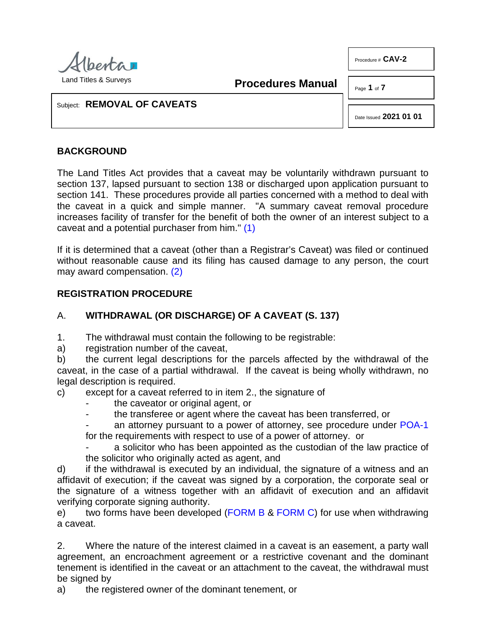

<span id="page-0-0"></span>**Procedures Manual**

Page **1** of **7**

Procedure # **CAV-2**

Subject: **REMOVAL OF CAVEATS**

Date Issued **2021 01 01**

## **BACKGROUND**

The Land Titles Act provides that a caveat may be voluntarily withdrawn pursuant to section 137, lapsed pursuant to section 138 or discharged upon application pursuant to section 141. These procedures provide all parties concerned with a method to deal with the caveat in a quick and simple manner. "A summary caveat removal procedure increases facility of transfer for the benefit of both the owner of an interest subject to a caveat and a potential purchaser from him." [\(1\)](#page-5-0)

<span id="page-0-1"></span>If it is determined that a caveat (other than a Registrar's Caveat) was filed or continued without reasonable cause and its filing has caused damage to any person, the court may award compensation. [\(2\)](#page-5-1)

## **REGISTRATION PROCEDURE**

# A. **WITHDRAWAL (OR DISCHARGE) OF A CAVEAT (S. 137)**

1. The withdrawal must contain the following to be registrable:

a) registration number of the caveat,

b) the current legal descriptions for the parcels affected by the withdrawal of the caveat, in the case of a partial withdrawal. If the caveat is being wholly withdrawn, no legal description is required.

c) except for a caveat referred to in item 2., the signature of

- the caveator or original agent, or
- the transferee or agent where the caveat has been transferred, or
- an attorney pursuant to a power of attorney, see procedure under [POA-1](http://www.servicealberta.ca/pdf/ltmanual/POA-1.pdf) for the requirements with respect to use of a power of attorney. or

a solicitor who has been appointed as the custodian of the law practice of the solicitor who originally acted as agent, and

d) if the withdrawal is executed by an individual, the signature of a witness and an affidavit of execution; if the caveat was signed by a corporation, the corporate seal or the signature of a witness together with an affidavit of execution and an affidavit verifying corporate signing authority.

e) two forms have been developed [\(FORM B](http://www.servicealberta.ca/pdf/ltmanual/CAV-2-FORMB.pdf) & [FORM C\)](http://www.servicealberta.ca/pdf/ltmanual/CAV-2-FORMC.pdf) for use when withdrawing a caveat.

2. Where the nature of the interest claimed in a caveat is an easement, a party wall agreement, an encroachment agreement or a restrictive covenant and the dominant tenement is identified in the caveat or an attachment to the caveat, the withdrawal must be signed by

a) the registered owner of the dominant tenement, or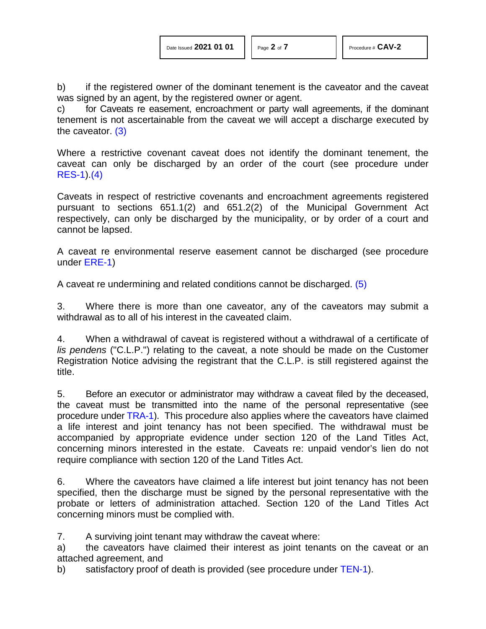b) if the registered owner of the dominant tenement is the caveator and the caveat was signed by an agent, by the registered owner or agent.

<span id="page-1-0"></span>c) for Caveats re easement, encroachment or party wall agreements, if the dominant tenement is not ascertainable from the caveat we will accept a discharge executed by the caveator. [\(3\)](#page-5-2)

<span id="page-1-1"></span>Where a restrictive covenant caveat does not identify the dominant tenement, the caveat can only be discharged by an order of the court (see procedure under [RES-1\)](http://www.servicealberta.ca/pdf/ltmanual/RES-1.pdf)[.\(4\)](#page-5-3)

Caveats in respect of restrictive covenants and encroachment agreements registered pursuant to sections 651.1(2) and 651.2(2) of the Municipal Government Act respectively, can only be discharged by the municipality, or by order of a court and cannot be lapsed.

A caveat re environmental reserve easement cannot be discharged (see procedure under [ERE-1\)](http://www.servicealberta.ca/pdf/ltmanual/ERE-1.pdf)

<span id="page-1-2"></span>A caveat re undermining and related conditions cannot be discharged. [\(5\)](#page-5-4)

3. Where there is more than one caveator, any of the caveators may submit a withdrawal as to all of his interest in the caveated claim.

4. When a withdrawal of caveat is registered without a withdrawal of a certificate of *lis pendens* ("C.L.P.") relating to the caveat, a note should be made on the Customer Registration Notice advising the registrant that the C.L.P. is still registered against the title.

5. Before an executor or administrator may withdraw a caveat filed by the deceased, the caveat must be transmitted into the name of the personal representative (see procedure under [TRA-1\)](http://www.servicealberta.ca/pdf/ltmanual/TRA-1.pdf). This procedure also applies where the caveators have claimed a life interest and joint tenancy has not been specified. The withdrawal must be accompanied by appropriate evidence under section 120 of the Land Titles Act, concerning minors interested in the estate. Caveats re: unpaid vendor's lien do not require compliance with section 120 of the Land Titles Act.

6. Where the caveators have claimed a life interest but joint tenancy has not been specified, then the discharge must be signed by the personal representative with the probate or letters of administration attached. Section 120 of the Land Titles Act concerning minors must be complied with.

7. A surviving joint tenant may withdraw the caveat where:

a) the caveators have claimed their interest as joint tenants on the caveat or an attached agreement, and

b) satisfactory proof of death is provided (see procedure under [TEN-1\)](http://www.servicealberta.ca/pdf/ltmanual/TEN-1.pdf).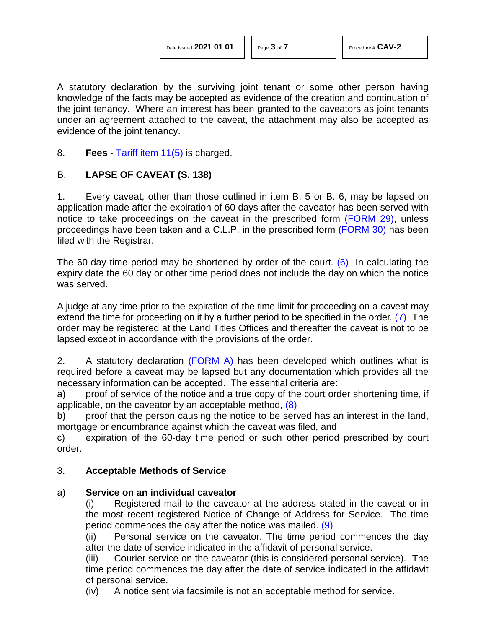<span id="page-2-0"></span>

| Date Issued 2021 01 01 |  |  |  |
|------------------------|--|--|--|
|------------------------|--|--|--|

A statutory declaration by the surviving joint tenant or some other person having knowledge of the facts may be accepted as evidence of the creation and continuation of the joint tenancy. Where an interest has been granted to the caveators as joint tenants under an agreement attached to the caveat, the attachment may also be accepted as evidence of the joint tenancy.

8. **Fees** - [Tariff item 11\(5\)](http://www.servicealberta.ca/pdf/ltmanual/APPENDIXI.pdf) is charged.

# B. **LAPSE OF CAVEAT (S. 138)**

1. Every caveat, other than those outlined in item B. 5 or B. 6, may be lapsed on application made after the expiration of 60 days after the caveator has been served with notice to take proceedings on the caveat in the prescribed form [\(FORM 29\),](http://www.servicealberta.ca/pdf/ltmanual/FORM29.pdf) unless proceedings have been taken and a C.L.P. in the prescribed form [\(FORM 30\)](http://www.servicealberta.ca/pdf/ltmanual/FORM30.pdf) has been filed with the Registrar.

The 60-day time period may be shortened by order of the court. [\(6\)](#page-5-5) In calculating the expiry date the 60 day or other time period does not include the day on which the notice was served.

<span id="page-2-1"></span>A judge at any time prior to the expiration of the time limit for proceeding on a caveat may extend the time for proceeding on it by a further period to be specified in the order. [\(7\)](#page-6-0) The order may be registered at the Land Titles Offices and thereafter the caveat is not to be lapsed except in accordance with the provisions of the order.

2. A statutory declaration [\(FORM A\)](http://www.servicealberta.ca/pdf/ltmanual/CAV-2-FORMA.pdf) has been developed which outlines what is required before a caveat may be lapsed but any documentation which provides all the necessary information can be accepted. The essential criteria are:

a) proof of service of the notice and a true copy of the court order shortening time, if applicable, on the caveator by an acceptable method, [\(8\)](#page-6-1)

b) proof that the person causing the notice to be served has an interest in the land, mortgage or encumbrance against which the caveat was filed, and

c) expiration of the 60-day time period or such other period prescribed by court order.

## 3. **Acceptable Methods of Service**

# a) **Service on an individual caveator**

<span id="page-2-2"></span>(i) Registered mail to the caveator at the address stated in the caveat or in the most recent registered Notice of Change of Address for Service. The time period commences the day after the notice was mailed. [\(9\)](#page-6-2)

<span id="page-2-3"></span>(ii) Personal service on the caveator. The time period commences the day after the date of service indicated in the affidavit of personal service.

(iii) Courier service on the caveator (this is considered personal service). The time period commences the day after the date of service indicated in the affidavit of personal service.

(iv) A notice sent via facsimile is not an acceptable method for service.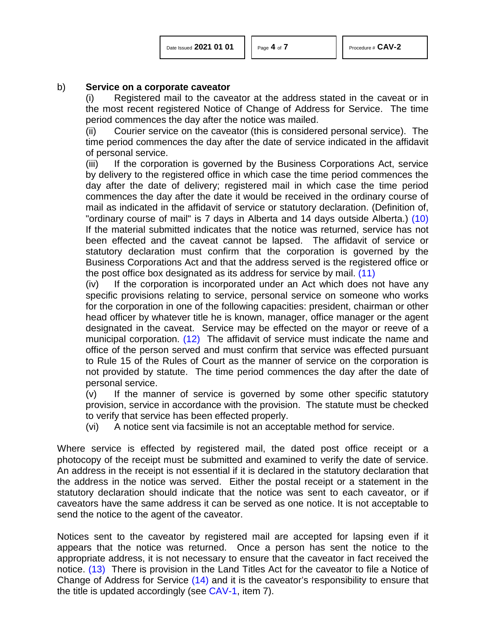<span id="page-3-0"></span>

| Date Issued 2021 01 01 |  |  |  |
|------------------------|--|--|--|
|------------------------|--|--|--|

#### b) **Service on a corporate caveator**

(i) Registered mail to the caveator at the address stated in the caveat or in the most recent registered Notice of Change of Address for Service. The time period commences the day after the notice was mailed.

(ii) Courier service on the caveator (this is considered personal service). The time period commences the day after the date of service indicated in the affidavit of personal service.

(iii) If the corporation is governed by the Business Corporations Act, service by delivery to the registered office in which case the time period commences the day after the date of delivery; registered mail in which case the time period commences the day after the date it would be received in the ordinary course of mail as indicated in the affidavit of service or statutory declaration. (Definition of, "ordinary course of mail" is 7 days in Alberta and 14 days outside Alberta.) [\(10\)](#page-6-3)  If the material submitted indicates that the notice was returned, service has not been effected and the caveat cannot be lapsed. The affidavit of service or statutory declaration must confirm that the corporation is governed by the Business Corporations Act and that the address served is the registered office or the post office box designated as its address for service by mail. [\(11\)](#page-6-4)

<span id="page-3-2"></span><span id="page-3-1"></span>(iv) If the corporation is incorporated under an Act which does not have any specific provisions relating to service, personal service on someone who works for the corporation in one of the following capacities: president, chairman or other head officer by whatever title he is known, manager, office manager or the agent designated in the caveat. Service may be effected on the mayor or reeve of a municipal corporation. [\(12\)](#page-6-5) The affidavit of service must indicate the name and office of the person served and must confirm that service was effected pursuant to Rule 15 of the Rules of Court as the manner of service on the corporation is not provided by statute. The time period commences the day after the date of personal service.

(v) If the manner of service is governed by some other specific statutory provision, service in accordance with the provision. The statute must be checked to verify that service has been effected properly.

(vi) A notice sent via facsimile is not an acceptable method for service.

Where service is effected by registered mail, the dated post office receipt or a photocopy of the receipt must be submitted and examined to verify the date of service. An address in the receipt is not essential if it is declared in the statutory declaration that the address in the notice was served. Either the postal receipt or a statement in the statutory declaration should indicate that the notice was sent to each caveator, or if caveators have the same address it can be served as one notice. It is not acceptable to send the notice to the agent of the caveator.

<span id="page-3-4"></span><span id="page-3-3"></span>Notices sent to the caveator by registered mail are accepted for lapsing even if it appears that the notice was returned. Once a person has sent the notice to the appropriate address, it is not necessary to ensure that the caveator in fact received the notice. [\(13\)](#page-6-6) There is provision in the Land Titles Act for the caveator to file a Notice of Change of Address for Service [\(14\)](#page-6-7) and it is the caveator's responsibility to ensure that the title is updated accordingly (see [CAV-1,](http://www.servicealberta.ca/pdf/ltmanual/CAV-1.pdf) item 7).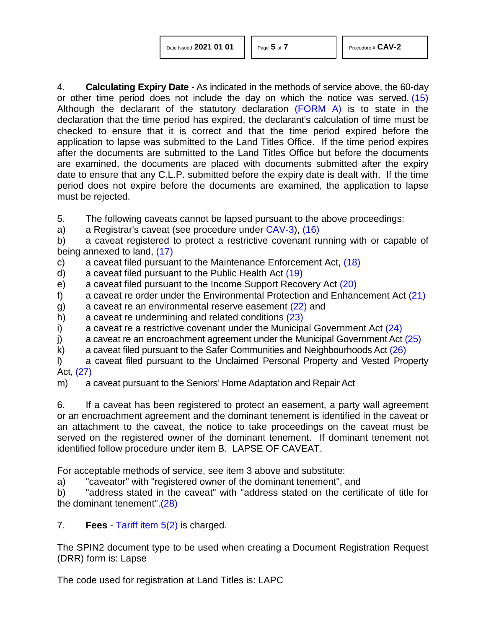| Date Issued 2021 01 01 |  |  |
|------------------------|--|--|
|------------------------|--|--|

<span id="page-4-11"></span><span id="page-4-10"></span><span id="page-4-9"></span><span id="page-4-6"></span><span id="page-4-5"></span><span id="page-4-4"></span><span id="page-4-3"></span><span id="page-4-1"></span><span id="page-4-0"></span>

4. **Calculating Expiry Date** - As indicated in the methods of service above, the 60-day or other time period does not include the day on which the notice was served. [\(15\)](#page-6-8)  Although the declarant of the statutory declaration [\(FORM A\)](http://www.servicealberta.ca/pdf/ltmanual/CAV-2-FORMA.pdf) is to state in the declaration that the time period has expired, the declarant's calculation of time must be checked to ensure that it is correct and that the time period expired before the application to lapse was submitted to the Land Titles Office. If the time period expires after the documents are submitted to the Land Titles Office but before the documents are examined, the documents are placed with documents submitted after the expiry date to ensure that any C.L.P. submitted before the expiry date is dealt with. If the time period does not expire before the documents are examined, the application to lapse must be rejected.

5. The following caveats cannot be lapsed pursuant to the above proceedings:

a) a Registrar's caveat (see procedure under [CAV-3\)](http://www.servicealberta.ca/pdf/ltmanual/CAV-3.pdf), [\(16\)](#page-6-9)

<span id="page-4-2"></span>b) a caveat registered to protect a restrictive covenant running with or capable of being annexed to land, [\(17\)](#page-6-10)

- c) a caveat filed pursuant to the Maintenance Enforcement Act, [\(18\)](#page-6-11)
- d) a caveat filed pursuant to the Public Health Act [\(19\)](#page-6-12)
- e) a caveat filed pursuant to the Income Support Recovery Act [\(20\)](#page-6-13)
- f) a caveat re order under the Environmental Protection and Enhancement Act  $(21)$
- <span id="page-4-7"></span>g) a caveat re an environmental reserve easement [\(22\)](#page-6-15) and
- <span id="page-4-8"></span>h) a caveat re undermining and related conditions [\(23\)](#page-6-16)
- i) a caveat re a restrictive covenant under the Municipal Government Act  $(24)$
- j) a caveat re an encroachment agreement under the Municipal Government Act  $(25)$
- k) a caveat filed pursuant to the Safer Communities and Neighbourhoods Act [\(26\)](#page-6-19)
- <span id="page-4-12"></span>l) a caveat filed pursuant to the Unclaimed Personal Property and Vested Property Act, [\(27\)](#page-6-20)

m) a caveat pursuant to the Seniors' Home Adaptation and Repair Act

6. If a caveat has been registered to protect an easement, a party wall agreement or an encroachment agreement and the dominant tenement is identified in the caveat or an attachment to the caveat, the notice to take proceedings on the caveat must be served on the registered owner of the dominant tenement. If dominant tenement not identified follow procedure under item B. LAPSE OF CAVEAT.

For acceptable methods of service, see item 3 above and substitute:

a) "caveator" with "registered owner of the dominant tenement", and

<span id="page-4-13"></span>b) "address stated in the caveat" with "address stated on the certificate of title for the dominant tenement"[.\(28\)](#page-6-21)

7. **Fees** - [Tariff item 5\(2\)](http://www.servicealberta.ca/pdf/ltmanual/APPENDIXI.pdf) is charged.

The SPIN2 document type to be used when creating a Document Registration Request (DRR) form is: Lapse

The code used for registration at Land Titles is: LAPC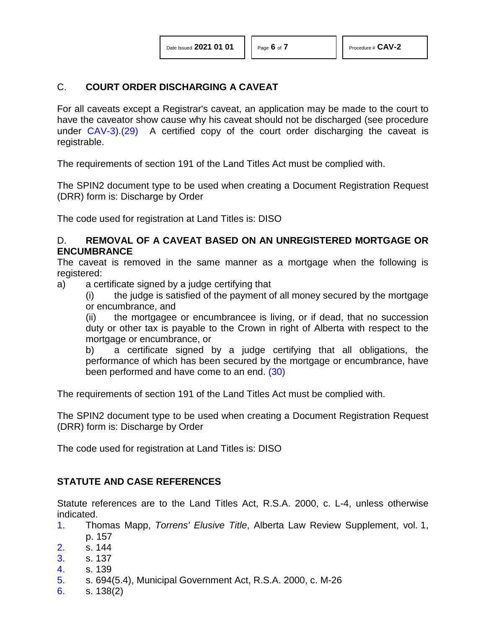#### C. **COURT ORDER DISCHARGING A CAVEAT**

<span id="page-5-6"></span>For all caveats except a Registrar's caveat, an application may be made to the court to have the caveator show cause why his caveat should not be discharged (see procedure under [CAV-3\)](http://www.servicealberta.ca/pdf/ltmanual/CAV-3.pdf)[.\(29\)](#page-6-22) A certified copy of the court order discharging the caveat is registrable.

The requirements of section 191 of the Land Titles Act must be complied with.

The SPIN2 document type to be used when creating a Document Registration Request (DRR) form is: Discharge by Order

The code used for registration at Land Titles is: DISO

#### D. **REMOVAL OF A CAVEAT BASED ON AN UNREGISTERED MORTGAGE OR ENCUMBRANCE**

The caveat is removed in the same manner as a mortgage when the following is registered:

a) a certificate signed by a judge certifying that

(i) the judge is satisfied of the payment of all money secured by the mortgage or encumbrance, and

(ii) the mortgagee or encumbrancee is living, or if dead, that no succession duty or other tax is payable to the Crown in right of Alberta with respect to the mortgage or encumbrance, or

<span id="page-5-7"></span>b) a certificate signed by a judge certifying that all obligations, the performance of which has been secured by the mortgage or encumbrance, have been performed and have come to an end. [\(30\)](#page-6-23)

The requirements of section 191 of the Land Titles Act must be complied with.

The SPIN2 document type to be used when creating a Document Registration Request (DRR) form is: Discharge by Order

The code used for registration at Land Titles is: DISO

## **STATUTE AND CASE REFERENCES**

Statute references are to the Land Titles Act, R.S.A. 2000, c. L-4, unless otherwise indicated.

- <span id="page-5-0"></span>[1.](#page-0-0) Thomas Mapp, *Torrens' Elusive Title*, Alberta Law Review Supplement, vol. 1, p. 157
- <span id="page-5-1"></span>[2.](#page-0-1) s. 144
- <span id="page-5-2"></span>[3.](#page-1-0) s. 137
- <span id="page-5-3"></span>[4.](#page-1-1) s. 139
- <span id="page-5-4"></span>[5.](#page-1-2) s. 694(5.4), Municipal Government Act, R.S.A. 2000, c. M-26
- <span id="page-5-5"></span>[6.](#page-2-0) s. 138(2)